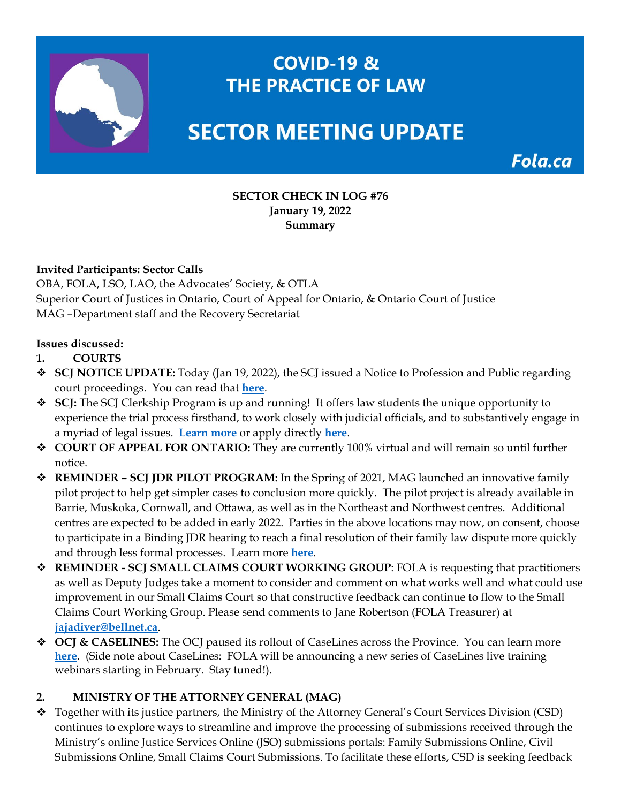

# **COVID-19 & THE PRACTICE OF LAW**

# **SECTOR MEETING UPDATE**

Fola.ca

#### **SECTOR CHECK IN LOG #76 January 19, 2022 Summary**

#### **Invited Participants: Sector Calls**

OBA, FOLA, LSO, LAO, the Advocates' Society, & OTLA Superior Court of Justices in Ontario, Court of Appeal for Ontario, & Ontario Court of Justice MAG –Department staff and the Recovery Secretariat

#### **Issues discussed:**

- **1. COURTS**
- **SCJ NOTICE UPDATE:** Today (Jan 19, 2022), the SCJ issued a Notice to Profession and Public regarding court proceedings. You can read that **[here](https://img1.wsimg.com/blobby/go/63f6349d-d85d-4511-bc5f-4314d54b45d0/downloads/Notice%20to%20Profession%20-%20January%2019%202022.pdf?ver=1642608616249)**.
- **SCJ:** The SCJ Clerkship Program is up and running! It offers law students the unique opportunity to experience the trial process firsthand, to work closely with judicial officials, and to substantively engage in a myriad of legal issues. **[Learn more](https://www.ontariocourts.ca/scj/clerkship/)** or apply directly **[here](https://www.ontariocourts.ca/scj/clerkship/application/)**.
- **COURT OF APPEAL FOR ONTARIO:** They are currently 100% virtual and will remain so until further notice.
- **REMINDER – SCJ JDR PILOT PROGRAM:** In the Spring of 2021, MAG launched an innovative family pilot project to help get simpler cases to conclusion more quickly. The pilot project is already available in Barrie, Muskoka, Cornwall, and Ottawa, as well as in the Northeast and Northwest centres. Additional centres are expected to be added in early 2022. Parties in the above locations may now, on consent, choose to participate in a Binding JDR hearing to reach a final resolution of their family law dispute more quickly and through less formal processes. Learn more **[here](https://www.ontariocourts.ca/scj/practice/binding-judicial-dispute-resolution-pilot/)**.
- **REMINDER - SCJ SMALL CLAIMS COURT WORKING GROUP**: FOLA is requesting that practitioners as well as Deputy Judges take a moment to consider and comment on what works well and what could use improvement in our Small Claims Court so that constructive feedback can continue to flow to the Small Claims Court Working Group. Please send comments to Jane Robertson (FOLA Treasurer) at **[jajadiver@bellnet.ca](mailto:jajadiver@bellnet.ca)**.
- ◆ OCJ & CASELINES: The OCJ paused its rollout of CaseLines across the Province. You can learn more **[here](https://www.ontariocourts.ca/ocj/caselines/)**. (Side note about CaseLines: FOLA will be announcing a new series of CaseLines live training webinars starting in February. Stay tuned!).

### **2. MINISTRY OF THE ATTORNEY GENERAL (MAG)**

 Together with its justice partners, the Ministry of the Attorney General's Court Services Division (CSD) continues to explore ways to streamline and improve the processing of submissions received through the Ministry's online Justice Services Online (JSO) submissions portals: Family Submissions Online, Civil Submissions Online, Small Claims Court Submissions. To facilitate these efforts, CSD is seeking feedback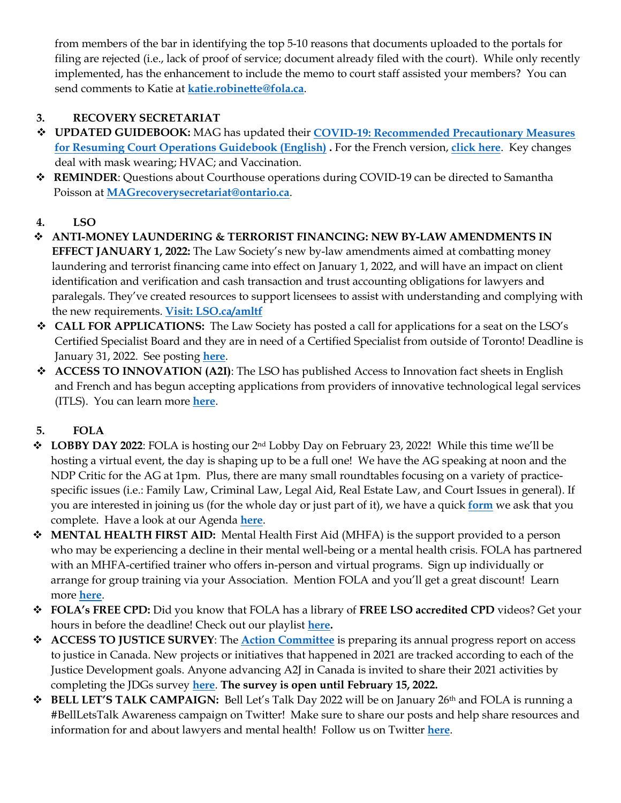from members of the bar in identifying the top 5-10 reasons that documents uploaded to the portals for filing are rejected (i.e., lack of proof of service; document already filed with the court). While only recently implemented, has the enhancement to include the memo to court staff assisted your members? You can send comments to Katie at **[katie.robinette@fola.ca](mailto:katie.robinette@fola.ca)**.

# **3. RECOVERY SECRETARIAT**

- **UPDATED GUIDEBOOK:** MAG has updated their **[COVID-19: Recommended Precautionary Measures](https://www.ontario.ca/page/covid-19-safety-measures-court-locations)  [for Resuming Court Operations Guidebook \(English\)](https://www.ontario.ca/page/covid-19-safety-measures-court-locations) .** For the French version, **[click here](https://www.ontario.ca/fr/page/covid-19-mesures-sanitaires-dans-les-tribunaux)**. Key changes deal with mask wearing; HVAC; and Vaccination.
- **REMINDER**: Questions about Courthouse operations during COVID-19 can be directed to Samantha Poisson at **[MAGrecoverysecretariat@ontario.ca](mailto:MAGrecoverysecretariat@ontario.ca)**.

# **4. LSO**

- **ANTI-MONEY LAUNDERING & TERRORIST FINANCING: NEW BY-LAW AMENDMENTS IN EFFECT JANUARY 1, 2022:** The Law Society's new by-law amendments aimed at combatting money laundering and terrorist financing came into effect on January 1, 2022, and will have an impact on client identification and verification and cash transaction and trust accounting obligations for lawyers and paralegals. They've created resources to support licensees to assist with understanding and complying with the new requirements. **[Visit: LSO.ca/amltf](https://lso.ca/about-lso/initiatives/money-laundering-model-rules)**
- **CALL FOR APPLICATIONS:** The Law Society has posted a call for applications for a seat on the LSO's Certified Specialist Board and they are in need of a Certified Specialist from outside of Toronto! Deadline is January 31, 2022. See posting **[here](https://fola.ca/jobs)**.
- **ACCESS TO INNOVATION (A2I)**: The LSO has published Access to Innovation fact sheets in English and French and has begun accepting applications from providers of innovative technological legal services (ITLS). You can learn more **[here](https://fola.ca/law-society-of-ontario)**.

# **5. FOLA**

- **LOBBY DAY 2022**: FOLA is hosting our 2nd Lobby Day on February 23, 2022! While this time we'll be hosting a virtual event, the day is shaping up to be a full one! We have the AG speaking at noon and the NDP Critic for the AG at 1pm. Plus, there are many small roundtables focusing on a variety of practicespecific issues (i.e.: Family Law, Criminal Law, Legal Aid, Real Estate Law, and Court Issues in general). If you are interested in joining us (for the whole day or just part of it), we have a quick **[form](https://docs.google.com/forms/d/e/1FAIpQLScxfLE3cFCJq8pmk2zQ97TLychXUl8XlBrKXlaTgyaqkDfBmA/viewform)** we ask that you complete. Have a look at our Agenda **[here](https://fola.ca/lobby-day#a48f6cdc-3439-4090-b9d0-cc2a40fdfdde)**.
- **MENTAL HEALTH FIRST AID:** Mental Health First Aid (MHFA) is the support provided to a person who may be experiencing a decline in their mental well-being or a mental health crisis. FOLA has partnered with an MHFA-certified trainer who offers in-person and virtual programs. Sign up individually or arrange for group training via your Association. Mention FOLA and you'll get a great discount! Learn more **[here](https://fola.ca/mental-health-resources)**.
- **FOLA's FREE CPD:** Did you know that FOLA has a library of **FREE LSO accredited CPD** videos? Get your hours in before the deadline! Check out our playlist **[here.](https://www.youtube.com/watch?v=C7Hkdw2E7pY&list=PLdOLwU4qP6NLrKkVovK5XDDmNcWyJm0tq)**
- **ACCESS TO JUSTICE SURVEY**: The **[Action Committee](https://www.justicedevelopmentgoals.ca/)** is preparing its annual progress report on access to justice in Canada. New projects or initiatives that happened in 2021 are tracked according to each of the Justice Development goals. Anyone advancing A2J in Canada is invited to share their 2021 activities by completing the JDGs survey **[here](http://actioncommittee.hostedincanadasurveys.ca/745463/lang/en/newtest/Y)**. **The survey is open until February 15, 2022.**
- **◆ BELL LET'S TALK CAMPAIGN:** Bell Let's Talk Day 2022 will be on January 26<sup>th</sup> and FOLA is running a #BellLetsTalk Awareness campaign on Twitter! Make sure to share our posts and help share resources and information for and about lawyers and mental health! Follow us on Twitter **[here](https://twitter.com/Ont_Law_Assoc)**.